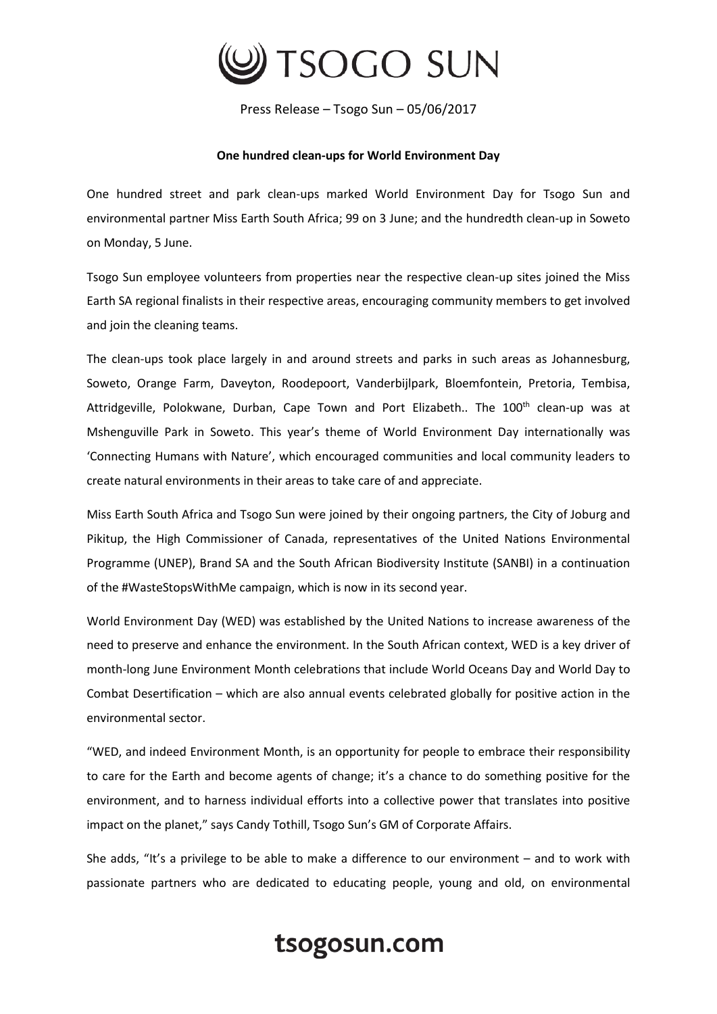

Press Release – Tsogo Sun – 05/06/2017

## **One hundred clean-ups for World Environment Day**

One hundred street and park clean-ups marked World Environment Day for Tsogo Sun and environmental partner Miss Earth South Africa; 99 on 3 June; and the hundredth clean-up in Soweto on Monday, 5 June.

Tsogo Sun employee volunteers from properties near the respective clean-up sites joined the Miss Earth SA regional finalists in their respective areas, encouraging community members to get involved and join the cleaning teams.

The clean-ups took place largely in and around streets and parks in such areas as Johannesburg, Soweto, Orange Farm, Daveyton, Roodepoort, Vanderbijlpark, Bloemfontein, Pretoria, Tembisa, Attridgeville, Polokwane, Durban, Cape Town and Port Elizabeth.. The 100<sup>th</sup> clean-up was at Mshenguville Park in Soweto. This year's theme of World Environment Day internationally was 'Connecting Humans with Nature', which encouraged communities and local community leaders to create natural environments in their areas to take care of and appreciate.

Miss Earth South Africa and Tsogo Sun were joined by their ongoing partners, the City of Joburg and Pikitup, the High Commissioner of Canada, representatives of the United Nations Environmental Programme (UNEP), Brand SA and the South African Biodiversity Institute (SANBI) in a continuation of the #WasteStopsWithMe campaign, which is now in its second year.

World Environment Day (WED) was established by the United Nations to increase awareness of the need to preserve and enhance the environment. In the South African context, WED is a key driver of month-long June Environment Month celebrations that include World Oceans Day and World Day to Combat Desertification – which are also annual events celebrated globally for positive action in the environmental sector.

"WED, and indeed Environment Month, is an opportunity for people to embrace their responsibility to care for the Earth and become agents of change; it's a chance to do something positive for the environment, and to harness individual efforts into a collective power that translates into positive impact on the planet," says Candy Tothill, Tsogo Sun's GM of Corporate Affairs.

She adds, "It's a privilege to be able to make a difference to our environment – and to work with passionate partners who are dedicated to educating people, young and old, on environmental

## tsogosun.com